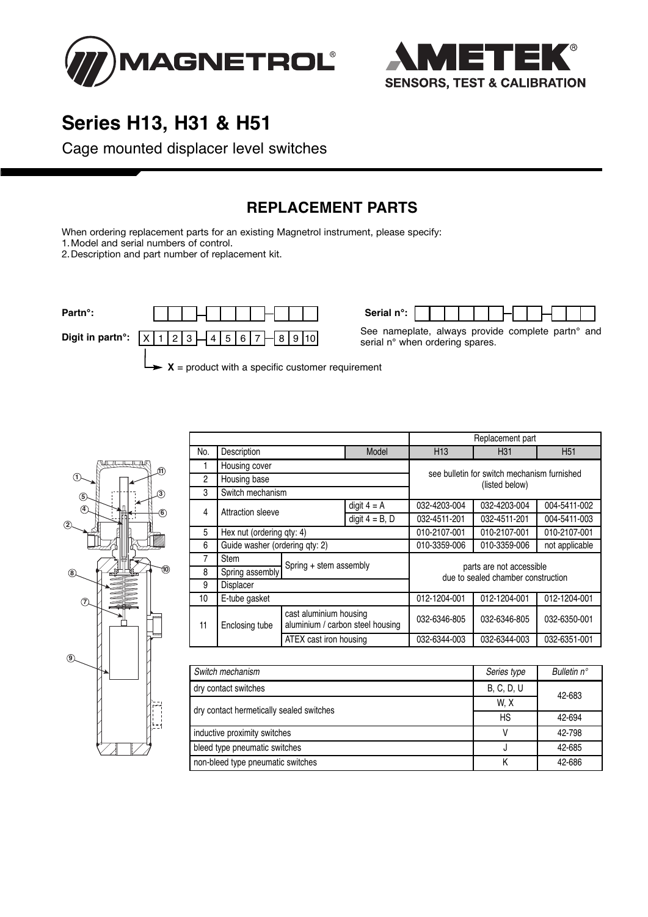



## **Series H13, H31 & H51**

Cage mounted displacer level switches

### **REPLACEMENT PARTS**

When ordering replacement parts for an existing Magnetrol instrument, please specify:

1.Model and serial numbers of control.

2.Description and part number of replacement kit.



See nameplate, always provide complete partn° and serial n° when ordering spares.



|     |                                |                                                            |                   | Replacement part                                               |                 |                 |  |
|-----|--------------------------------|------------------------------------------------------------|-------------------|----------------------------------------------------------------|-----------------|-----------------|--|
| No. | Description                    |                                                            | Model             | H <sub>13</sub>                                                | H <sub>31</sub> | H <sub>51</sub> |  |
| 1   | Housing cover                  |                                                            |                   |                                                                |                 |                 |  |
| 2   | Housing base                   |                                                            |                   | see bulletin for switch mechanism furnished<br>(listed below)  |                 |                 |  |
| 3   | Switch mechanism               |                                                            |                   |                                                                |                 |                 |  |
| 4   | Attraction sleeve              |                                                            | digit $4 = A$     | 032-4203-004                                                   | 032-4203-004    | 004-5411-002    |  |
|     |                                |                                                            | digit $4 = B$ , D | 032-4511-201                                                   | 032-4511-201    | 004-5411-003    |  |
| 5   | Hex nut (ordering qty: 4)      |                                                            | 010-2107-001      | 010-2107-001                                                   | 010-2107-001    |                 |  |
| 6   | Guide washer (ordering qty: 2) |                                                            | 010-3359-006      | 010-3359-006                                                   | not applicable  |                 |  |
| 7   | <b>Stem</b>                    | Spring + stem assembly                                     |                   | parts are not accessible<br>due to sealed chamber construction |                 |                 |  |
| 8   | Spring assembly                |                                                            |                   |                                                                |                 |                 |  |
| 9   | <b>Displacer</b>               |                                                            |                   |                                                                |                 |                 |  |
| 10  | E-tube gasket                  |                                                            | 012-1204-001      | 012-1204-001                                                   | 012-1204-001    |                 |  |
| 11  | Enclosing tube                 | cast aluminium housing<br>aluminium / carbon steel housing |                   | 032-6346-805                                                   | 032-6346-805    | 032-6350-001    |  |
|     |                                | ATEX cast iron housing                                     |                   | 032-6344-003                                                   | 032-6344-003    | 032-6351-001    |  |

| Switch mechanism                         | Series type | Bulletin $n^{\circ}$ |
|------------------------------------------|-------------|----------------------|
| dry contact switches                     | B, C, D, U  | 42-683               |
|                                          | W.X         |                      |
| dry contact hermetically sealed switches | <b>HS</b>   | 42-694               |
| inductive proximity switches             |             | 42-798               |
| bleed type pneumatic switches            |             | 42-685               |
| non-bleed type pneumatic switches        |             | 42-686               |